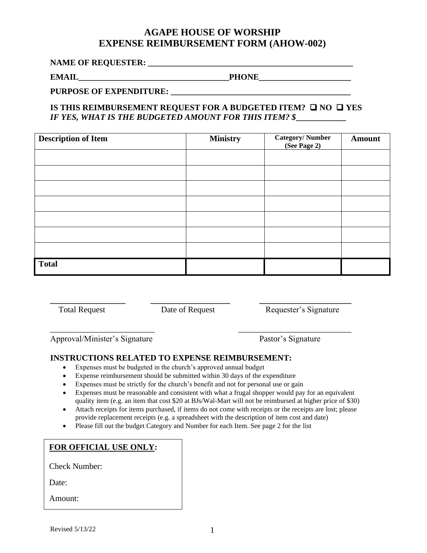## **AGAPE HOUSE OF WORSHIP EXPENSE REIMBURSEMENT FORM (AHOW-002)**

**NAME OF REQUESTER: \_\_\_\_\_\_\_\_\_\_\_\_\_\_\_\_\_\_\_\_\_\_\_\_\_\_\_\_\_\_\_\_\_\_\_\_\_\_\_\_\_\_\_\_\_\_\_\_\_**

**EMAIL** PHONE PHONE

PURPOSE OF EXPENDITURE:

**IS THIS REIMBURSEMENT REQUEST FOR A BUDGETED ITEM?** ❑ **NO** ❑ **YES** *IF YES, WHAT IS THE BUDGETED AMOUNT FOR THIS ITEM? \$***\_\_\_\_\_\_\_\_\_\_\_\_**

| <b>Description of Item</b> | <b>Ministry</b> | Category/Number<br>(See Page 2) | <b>Amount</b> |
|----------------------------|-----------------|---------------------------------|---------------|
|                            |                 |                                 |               |
|                            |                 |                                 |               |
|                            |                 |                                 |               |
|                            |                 |                                 |               |
|                            |                 |                                 |               |
|                            |                 |                                 |               |
|                            |                 |                                 |               |
| <b>Total</b>               |                 |                                 |               |

\_\_\_\_\_\_\_\_\_\_\_\_\_\_\_\_\_\_\_\_\_\_\_\_\_ \_\_\_\_\_\_\_\_\_\_\_\_\_\_\_\_\_\_\_\_\_\_\_\_\_\_\_

**\_\_\_\_\_\_\_\_\_\_\_\_\_\_\_\_\_\_ \_\_\_\_\_\_\_\_\_\_\_\_\_\_\_\_\_\_\_ \_\_\_\_\_\_\_\_\_\_\_\_\_\_\_\_\_\_\_\_\_\_** Total Request **Date of Request Request** Requester's Signature

Approval/Minister's Signature Pastor's Signature

## **INSTRUCTIONS RELATED TO EXPENSE REIMBURSEMENT:**

- Expenses must be budgeted in the church's approved annual budget
- Expense reimbursement should be submitted within 30 days of the expenditure
- Expenses must be strictly for the church's benefit and not for personal use or gain
- Expenses must be reasonable and consistent with what a frugal shopper would pay for an equivalent quality item (e.g. an item that cost \$20 at BJs/Wal-Mart will not be reimbursed at higher price of \$30)
- Attach receipts for items purchased, if items do not come with receipts or the receipts are lost; please provide replacement receipts (e.g. a spreadsheet with the description of item cost and date)
- Please fill out the budget Category and Number for each Item. See page 2 for the list

## **FOR OFFICIAL USE ONLY:**

Check Number:

Date:

Amount: